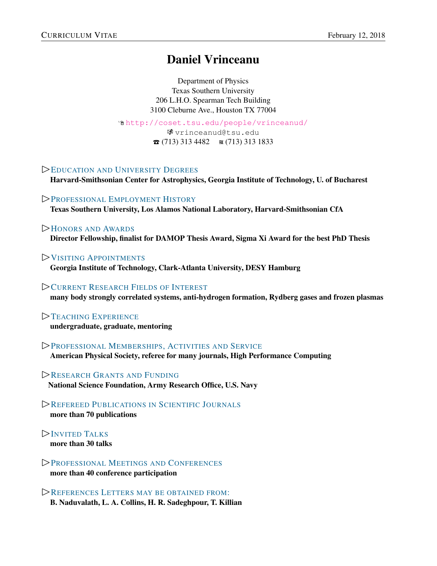# <span id="page-0-0"></span>Daniel Vrinceanu

Department of Physics Texas Southern University 206 L.H.O. Spearman Tech Building 3100 Cleburne Ave., Houston TX 77004

Í <http://coset.tsu.edu/people/vrinceanud/>

图 vrinceanud et su.edu  $\bullet$  (713) 313 4482  $\bullet$  (713) 313 1833

## ✄<sup>E</sup>[DUCATION AND](#page-1-0) <sup>U</sup>NIVERSITY <sup>D</sup>EGREES

Harvard-Smithsonian Center for Astrophysics, Georgia Institute of Technology, U. of Bucharest

✄<sup>P</sup>[ROFESSIONAL](#page-1-1) <sup>E</sup>MPLOYMENT <sup>H</sup>ISTORY Texas Southern University, Los Alamos National Laboratory, Harvard-Smithsonian CfA

#### ✄<sup>H</sup>[ONORS AND](#page-1-2) <sup>A</sup>WARDS

Director Fellowship, finalist for DAMOP Thesis Award, Sigma Xi Award for the best PhD Thesis

✄<sup>V</sup>ISITING <sup>A</sup>[PPOINTMENTS](#page-2-0)

Georgia Institute of Technology, Clark-Atlanta University, DESY Hamburg

#### ✄<sup>C</sup>URRENT <sup>R</sup>[ESEARCH](#page-2-1) <sup>F</sup>IELDS OF <sup>I</sup>NTEREST

many body strongly correlated systems, anti-hydrogen formation, Rydberg gases and frozen plasmas

# $\triangleright$ **TEACHING E[XPERIENCE](#page-2-2)**

undergraduate, graduate, mentoring

✄<sup>P</sup>ROFESSIONAL <sup>M</sup>EMBERSHIPS, A[CTIVITIES AND](#page-3-0) <sup>S</sup>ERVICE

American Physical Society, referee for many journals, High Performance Computing

**EXECUTE G[RANTS AND](#page-3-1) FUNDING** National Science Foundation, Army Research Office, U.S. Navy

✄<sup>R</sup>EFEREED <sup>P</sup>[UBLICATIONS IN](#page-3-2) <sup>S</sup>CIENTIFIC <sup>J</sup>OURNALS more than 70 publications

✄<sup>I</sup>NVITED <sup>T</sup>ALKS more than 30 talks

✄<sup>P</sup>[ROFESSIONAL](#page-11-0) <sup>M</sup>EETINGS AND <sup>C</sup>ONFERENCES more than 40 conference participation

✄<sup>R</sup>EFERENCES <sup>L</sup>[ETTERS MAY BE OBTAINED FROM](#page-12-0): B. Naduvalath, L. A. Collins, H. R. Sadeghpour, T. Killian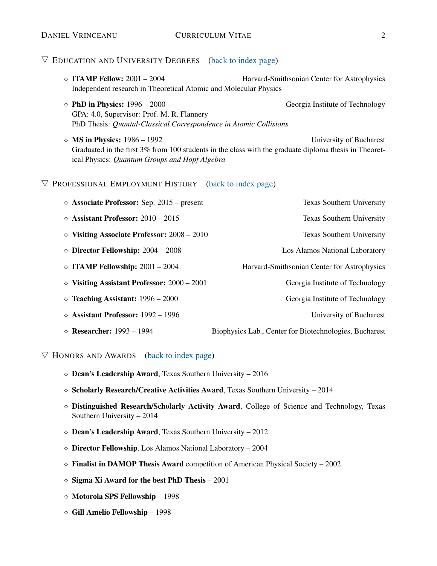- <span id="page-1-0"></span>◇ **ITAMP Fellow:** 2001 – 2004 Harvard-Smithsonian Center for Astrophysics Independent research in Theoretical Atomic and Molecular Physics
- $\Diamond$  PhD in Physics: 1996 2000 GPA: 4.0, Supervisor: Prof. M. R. Flannery PhD Thesis: *Quantal-Classical Correspondence in Atomic Collisions*
- $\Diamond$  **MS in Physics:** 1986 1992 University of Bucharest Graduated in the first 3% from 100 students in the class with the graduate diploma thesis in Theoretical Physics: *Quantum Groups and Hopf Algebra*

#### <span id="page-1-1"></span> $\nabla$  PROFESSIONAL EMPLOYMENT HISTORY [\(back to index page\)](#page-0-0)

| $\Diamond$ Associate Professor: Sep. 2015 – present  | Texas Southern University                              |
|------------------------------------------------------|--------------------------------------------------------|
| $\Diamond$ Assistant Professor: 2010 – 2015          | Texas Southern University                              |
| $\Diamond$ Visiting Associate Professor: 2008 – 2010 | <b>Texas Southern University</b>                       |
| $\Diamond$ Director Fellowship: 2004 – 2008          | Los Alamos National Laboratory                         |
| $\Diamond$ ITAMP Fellowship: 2001 – 2004             | Harvard-Smithsonian Center for Astrophysics            |
| $\diamond$ Visiting Assistant Professor: 2000 - 2001 | Georgia Institute of Technology                        |
| $\Diamond$ Teaching Assistant: 1996 – 2000           | Georgia Institute of Technology                        |
| $\Diamond$ Assistant Professor: 1992 – 1996          | University of Bucharest                                |
| $\Diamond$ Researcher: 1993 – 1994                   | Biophysics Lab., Center for Biotechnologies, Bucharest |

- <span id="page-1-2"></span> $\diamond$  Dean's Leadership Award, Texas Southern University - 2016
- $\diamond$  Scholarly Research/Creative Activities Award, Texas Southern University 2014
- Distinguished Research/Scholarly Activity Award, College of Science and Technology, Texas Southern University – 2014
- $\diamond$  Dean's Leadership Award, Texas Southern University 2012
- Director Fellowship, Los Alamos National Laboratory 2004
- $\Diamond$  Finalist in DAMOP Thesis Award competition of American Physical Society 2002
- $\diamond$  Sigma Xi Award for the best PhD Thesis 2001
- $\diamond$  Motorola SPS Fellowship 1998
- Gill Amelio Fellowship 1998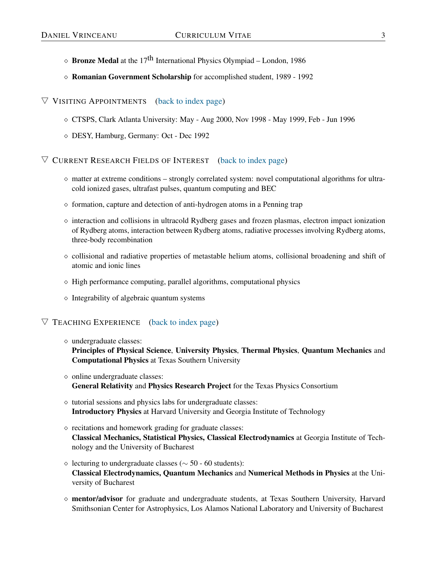- $\Diamond$  **Bronze Medal** at the 17<sup>th</sup> International Physics Olympiad London, 1986
- Romanian Government Scholarship for accomplished student, 1989 1992

- <span id="page-2-0"></span>CTSPS, Clark Atlanta University: May - Aug 2000, Nov 1998 - May 1999, Feb - Jun 1996
- DESY, Hamburg, Germany: Oct Dec 1992

<span id="page-2-1"></span> $\nabla$  CURRENT RESEARCH FIELDS OF INTEREST [\(back to index page\)](#page-0-0)

- $\Diamond$  matter at extreme conditions strongly correlated system: novel computational algorithms for ultracold ionized gases, ultrafast pulses, quantum computing and BEC
- $\Diamond$  formation, capture and detection of anti-hydrogen atoms in a Penning trap
- $\Diamond$  interaction and collisions in ultracold Rydberg gases and frozen plasmas, electron impact ionization of Rydberg atoms, interaction between Rydberg atoms, radiative processes involving Rydberg atoms, three-body recombination
- $\circ$  collisional and radiative properties of metastable helium atoms, collisional broadening and shift of atomic and ionic lines
- $\Diamond$  High performance computing, parallel algorithms, computational physics
- $\diamond$  Integrability of algebraic quantum systems

# <span id="page-2-2"></span> $\nabla$  TEACHING EXPERIENCE [\(back to index page\)](#page-0-0)

undergraduate classes:

Principles of Physical Science, University Physics, Thermal Physics, Quantum Mechanics and Computational Physics at Texas Southern University

- $\diamond$  online undergraduate classes: General Relativity and Physics Research Project for the Texas Physics Consortium
- $\Diamond$  tutorial sessions and physics labs for undergraduate classes: Introductory Physics at Harvard University and Georgia Institute of Technology
- $\circ$  recitations and homework grading for graduate classes: Classical Mechanics, Statistical Physics, Classical Electrodynamics at Georgia Institute of Technology and the University of Bucharest
- lecturing to undergraduate classes (∼ 50 60 students): Classical Electrodynamics, Quantum Mechanics and Numerical Methods in Physics at the University of Bucharest
- mentor/advisor for graduate and undergraduate students, at Texas Southern University, Harvard Smithsonian Center for Astrophysics, Los Alamos National Laboratory and University of Bucharest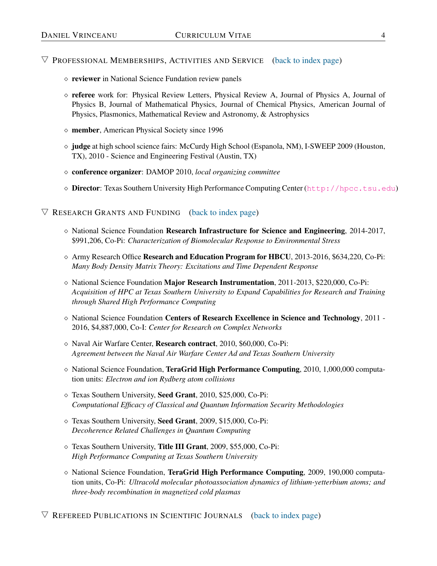- <span id="page-3-0"></span> $\Diamond$  reviewer in National Science Fundation review panels
- $\circ$  referee work for: Physical Review Letters, Physical Review A, Journal of Physics A, Journal of Physics B, Journal of Mathematical Physics, Journal of Chemical Physics, American Journal of Physics, Plasmonics, Mathematical Review and Astronomy, & Astrophysics
- $\diamond$  member, American Physical Society since 1996
- $\Diamond$  judge at high school science fairs: McCurdy High School (Espanola, NM), I-SWEEP 2009 (Houston, TX), 2010 - Science and Engineering Festival (Austin, TX)
- conference organizer: DAMOP 2010, *local organizing committee*
- Director: Texas Southern University High Performance Computing Center ([http://hpcc.tsu.edu](hpcc.tsu.edu))

## <span id="page-3-1"></span> $\nabla$  RESEARCH GRANTS AND FUNDING [\(back to index page\)](#page-0-0)

- $\diamond$  National Science Foundation Research Infrastructure for Science and Engineering, 2014-2017, \$991,206, Co-Pi: *Characterization of Biomolecular Response to Environmental Stress*
- $\Diamond$  Army Research Office Research and Education Program for HBCU, 2013-2016, \$634,220, Co-Pi: *Many Body Density Matrix Theory: Excitations and Time Dependent Response*
- $\Diamond$  National Science Foundation Major Research Instrumentation, 2011-2013, \$220,000, Co-Pi: *Acquisition of HPC at Texas Southern University to Expand Capabilities for Research and Training through Shared High Performance Computing*
- National Science Foundation Centers of Research Excellence in Science and Technology, 2011 2016, \$4,887,000, Co-I: *Center for Research on Complex Networks*
- Naval Air Warfare Center, Research contract, 2010, \$60,000, Co-Pi: *Agreement between the Naval Air Warfare Center Ad and Texas Southern University*
- $\Diamond$  National Science Foundation, TeraGrid High Performance Computing, 2010, 1,000,000 computation units: *Electron and ion Rydberg atom collisions*
- Texas Southern University, Seed Grant, 2010, \$25,000, Co-Pi: *Computational Efficacy of Classical and Quantum Information Security Methodologies*
- Texas Southern University, Seed Grant, 2009, \$15,000, Co-Pi: *Decoherence Related Challenges in Quantum Computing*
- Texas Southern University, Title III Grant, 2009, \$55,000, Co-Pi: *High Performance Computing at Texas Southern University*
- <span id="page-3-2"></span> $\Diamond$  National Science Foundation, TeraGrid High Performance Computing, 2009, 190,000 computation units, Co-Pi: *Ultracold molecular photoassociation dynamics of lithium-yetterbium atoms; and three-body recombination in magnetized cold plasmas*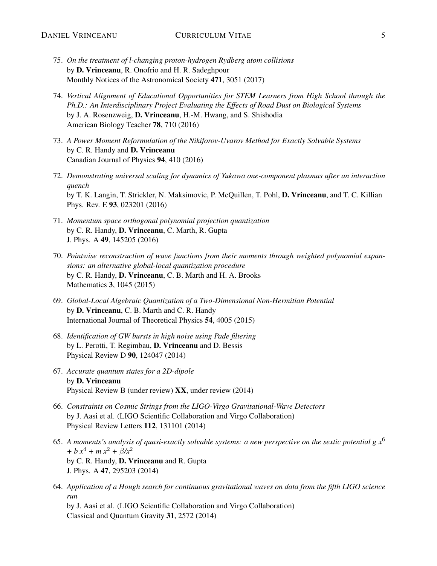- 75. *On the treatment of l-changing proton-hydrogen Rydberg atom collisions* by D. Vrinceanu, R. Onofrio and H. R. Sadeghpour Monthly Notices of the Astronomical Society 471, 3051 (2017)
- 74. *Vertical Alignment of Educational Opportunities for STEM Learners from High School through the Ph.D.: An Interdisciplinary Project Evaluating the Effects of Road Dust on Biological Systems* by J. A. Rosenzweig, D. Vrinceanu, H.-M. Hwang, and S. Shishodia American Biology Teacher 78, 710 (2016)
- 73. *A Power Moment Reformulation of the Nikiforov-Uvarov Method for Exactly Solvable Systems* by C. R. Handy and D. Vrinceanu Canadian Journal of Physics 94, 410 (2016)
- 72. *Demonstrating universal scaling for dynamics of Yukawa one-component plasmas after an interaction quench* by T. K. Langin, T. Strickler, N. Maksimovic, P. McQuillen, T. Pohl, D. Vrinceanu, and T. C. Killian Phys. Rev. E 93, 023201 (2016)
- 71. *Momentum space orthogonal polynomial projection quantization* by C. R. Handy, D. Vrinceanu, C. Marth, R. Gupta J. Phys. A 49, 145205 (2016)
- 70. *Pointwise reconstruction of wave functions from their moments through weighted polynomial expansions: an alternative global-local quantization procedure* by C. R. Handy, D. Vrinceanu, C. B. Marth and H. A. Brooks Mathematics 3, 1045 (2015)
- 69. *Global-Local Algebraic Quantization of a Two-Dimensional Non-Hermitian Potential* by D. Vrinceanu, C. B. Marth and C. R. Handy International Journal of Theoretical Physics 54, 4005 (2015)
- 68. *Identification of GW bursts in high noise using Pade filtering* by L. Perotti, T. Regimbau, D. Vrinceanu and D. Bessis Physical Review D 90, 124047 (2014)
- 67. *Accurate quantum states for a 2D-dipole* by D. Vrinceanu Physical Review B (under review) XX, under review (2014)
- 66. *Constraints on Cosmic Strings from the LIGO-Virgo Gravitational-Wave Detectors* by J. Aasi et al. (LIGO Scientific Collaboration and Virgo Collaboration) Physical Review Letters 112, 131101 (2014)
- 65. *A moments's analysis of quasi-exactly solvable systems: a new perspective on the sextic potential g x*<sup>6</sup> *+ b x*<sup>4</sup> *+ m x*<sup>2</sup> *+*  $\beta$ */x*<sup>2</sup> by C. R. Handy, D. Vrinceanu and R. Gupta J. Phys. A 47, 295203 (2014)
- 64. *Application of a Hough search for continuous gravitational waves on data from the fifth LIGO science run*

by J. Aasi et al. (LIGO Scientific Collaboration and Virgo Collaboration) Classical and Quantum Gravity 31, 2572 (2014)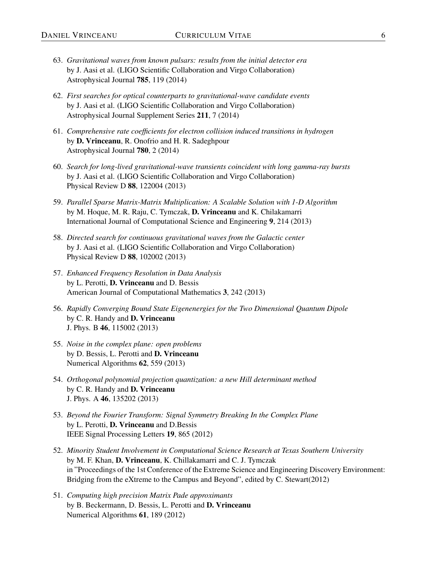- 63. *Gravitational waves from known pulsars: results from the initial detector era* by J. Aasi et al. (LIGO Scientific Collaboration and Virgo Collaboration) Astrophysical Journal 785, 119 (2014)
- 62. *First searches for optical counterparts to gravitational-wave candidate events* by J. Aasi et al. (LIGO Scientific Collaboration and Virgo Collaboration) Astrophysical Journal Supplement Series 211, 7 (2014)
- 61. *Comprehensive rate coefficients for electron collision induced transitions in hydrogen* by D. Vrinceanu, R. Onofrio and H. R. Sadeghpour Astrophysical Journal 780, 2 (2014)
- 60. *Search for long-lived gravitational-wave transients coincident with long gamma-ray bursts* by J. Aasi et al. (LIGO Scientific Collaboration and Virgo Collaboration) Physical Review D 88, 122004 (2013)
- 59. *Parallel Sparse Matrix-Matrix Multiplication: A Scalable Solution with 1-D Algorithm* by M. Hoque, M. R. Raju, C. Tymczak, D. Vrinceanu and K. Chilakamarri International Journal of Computational Science and Engineering 9, 214 (2013)
- 58. *Directed search for continuous gravitational waves from the Galactic center* by J. Aasi et al. (LIGO Scientific Collaboration and Virgo Collaboration) Physical Review D 88, 102002 (2013)
- 57. *Enhanced Frequency Resolution in Data Analysis* by L. Perotti, D. Vrinceanu and D. Bessis American Journal of Computational Mathematics 3, 242 (2013)
- 56. *Rapidly Converging Bound State Eigenenergies for the Two Dimensional Quantum Dipole* by C. R. Handy and D. Vrinceanu J. Phys. B 46, 115002 (2013)
- 55. *Noise in the complex plane: open problems* by D. Bessis, L. Perotti and D. Vrinceanu Numerical Algorithms 62, 559 (2013)
- 54. *Orthogonal polynomial projection quantization: a new Hill determinant method* by C. R. Handy and D. Vrinceanu J. Phys. A 46, 135202 (2013)
- 53. *Beyond the Fourier Transform: Signal Symmetry Breaking In the Complex Plane* by L. Perotti, D. Vrinceanu and D.Bessis IEEE Signal Processing Letters 19, 865 (2012)
- 52. *Minority Student Involvement in Computational Science Research at Texas Southern University* by M. F. Khan, D. Vrinceanu, K. Chillakamarri and C. J. Tymczak in "Proceedings of the 1st Conference of the Extreme Science and Engineering Discovery Environment: Bridging from the eXtreme to the Campus and Beyond", edited by C. Stewart(2012)
- 51. *Computing high precision Matrix Pade approximants* by B. Beckermann, D. Bessis, L. Perotti and D. Vrinceanu Numerical Algorithms 61, 189 (2012)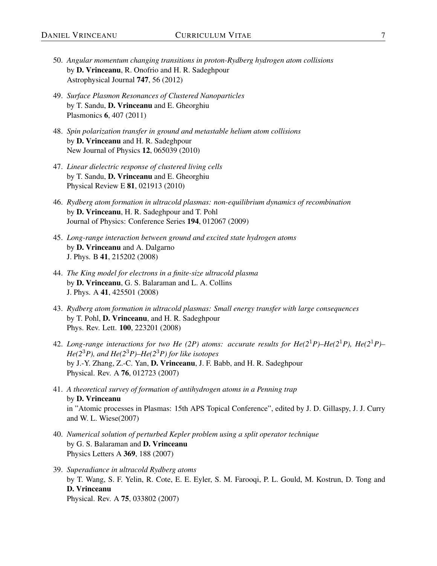- 50. *Angular momentum changing transitions in proton-Rydberg hydrogen atom collisions* by D. Vrinceanu, R. Onofrio and H. R. Sadeghpour Astrophysical Journal 747, 56 (2012)
- 49. *Surface Plasmon Resonances of Clustered Nanoparticles* by T. Sandu, D. Vrinceanu and E. Gheorghiu Plasmonics 6, 407 (2011)
- 48. *Spin polarization transfer in ground and metastable helium atom collisions* by D. Vrinceanu and H. R. Sadeghpour New Journal of Physics 12, 065039 (2010)
- 47. *Linear dielectric response of clustered living cells* by T. Sandu, D. Vrinceanu and E. Gheorghiu Physical Review E 81, 021913 (2010)
- 46. *Rydberg atom formation in ultracold plasmas: non-equilibrium dynamics of recombination* by D. Vrinceanu, H. R. Sadeghpour and T. Pohl Journal of Physics: Conference Series 194, 012067 (2009)
- 45. *Long-range interaction between ground and excited state hydrogen atoms* by D. Vrinceanu and A. Dalgarno J. Phys. B 41, 215202 (2008)
- 44. *The King model for electrons in a finite-size ultracold plasma* by D. Vrinceanu, G. S. Balaraman and L. A. Collins J. Phys. A 41, 425501 (2008)
- 43. *Rydberg atom formation in ultracold plasmas: Small energy transfer with large consequences* by T. Pohl, D. Vrinceanu, and H. R. Sadeghpour Phys. Rev. Lett. 100, 223201 (2008)
- 42. *Long-range interactions for two He (2P) atoms: accurate results for He(2*1*P)–He(2*1*P), He(2*1*P)– He(2*3*P), and He(2*3*P)–He(2*3*P) for like isotopes* by J.-Y. Zhang, Z.-C. Yan, D. Vrinceanu, J. F. Babb, and H. R. Sadeghpour Physical. Rev. A 76, 012723 (2007)
- 41. *A theoretical survey of formation of antihydrogen atoms in a Penning trap* by D. Vrinceanu in "Atomic processes in Plasmas: 15th APS Topical Conference", edited by J. D. Gillaspy, J. J. Curry and W. L. Wiese(2007)
- 40. *Numerical solution of perturbed Kepler problem using a split operator technique* by G. S. Balaraman and D. Vrinceanu Physics Letters A 369, 188 (2007)
- 39. *Superadiance in ultracold Rydberg atoms* by T. Wang, S. F. Yelin, R. Cote, E. E. Eyler, S. M. Farooqi, P. L. Gould, M. Kostrun, D. Tong and D. Vrinceanu Physical. Rev. A 75, 033802 (2007)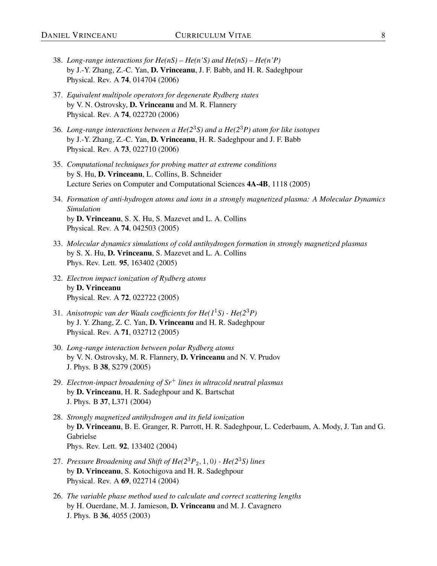- 38. *Long-range interactions for He(nS) He(n'S) and He(nS) He(n'P)* by J.-Y. Zhang, Z.-C. Yan, D. Vrinceanu, J. F. Babb, and H. R. Sadeghpour Physical. Rev. A 74, 014704 (2006)
- 37. *Equivalent multipole operators for degenerate Rydberg states* by V. N. Ostrovsky, D. Vrinceanu and M. R. Flannery Physical. Rev. A 74, 022720 (2006)
- 36. *Long-range interactions between a He(2*3*S) and a He(2*3*P) atom for like isotopes* by J.-Y. Zhang, Z.-C. Yan, D. Vrinceanu, H. R. Sadeghpour and J. F. Babb Physical. Rev. A 73, 022710 (2006)
- 35. *Computational techniques for probing matter at extreme conditions* by S. Hu, D. Vrinceanu, L. Collins, B. Schneider Lecture Series on Computer and Computational Sciences 4A-4B, 1118 (2005)
- 34. *Formation of anti-hydrogen atoms and ions in a strongly magnetized plasma: A Molecular Dynamics Simulation* by D. Vrinceanu, S. X. Hu, S. Mazevet and L. A. Collins Physical. Rev. A 74, 042503 (2005)
- 33. *Molecular dynamics simulations of cold antihydrogen formation in strongly magnetized plasmas* by S. X. Hu, D. Vrinceanu, S. Mazevet and L. A. Collins Phys. Rev. Lett. 95, 163402 (2005)
- 32. *Electron impact ionization of Rydberg atoms* by D. Vrinceanu Physical. Rev. A 72, 022722 (2005)
- 31. *Anisotropic van der Waals coefficients for He(1*1*S) He(2*3*P)* by J. Y. Zhang, Z. C. Yan, D. Vrinceanu and H. R. Sadeghpour Physical. Rev. A 71, 032712 (2005)
- 30. *Long-range interaction between polar Rydberg atoms* by V. N. Ostrovsky, M. R. Flannery, D. Vrinceanu and N. V. Prudov J. Phys. B 38, S279 (2005)
- 29. *Electron-impact broadening of Sr*<sup>+</sup> *lines in ultracold neutral plasmas* by D. Vrinceanu, H. R. Sadeghpour and K. Bartschat J. Phys. B 37, L371 (2004)
- 28. *Strongly magnetized antihydrogen and its field ionization* by D. Vrinceanu, B. E. Granger, R. Parrott, H. R. Sadeghpour, L. Cederbaum, A. Mody, J. Tan and G. Gabrielse Phys. Rev. Lett. 92, 133402 (2004)
- 27. *Pressure Broadening and Shift of He(2*3*P*2, 1, 0*) He(2*3*S) lines* by D. Vrinceanu, S. Kotochigova and H. R. Sadeghpour Physical. Rev. A 69, 022714 (2004)
- 26. *The variable phase method used to calculate and correct scattering lengths* by H. Ouerdane, M. J. Jamieson, D. Vrinceanu and M. J. Cavagnero J. Phys. B 36, 4055 (2003)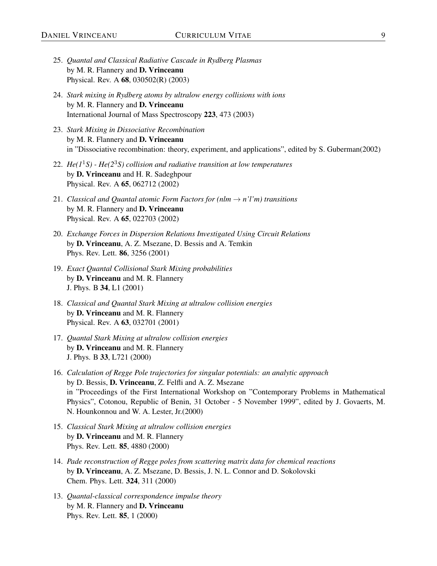- 25. *Quantal and Classical Radiative Cascade in Rydberg Plasmas* by M. R. Flannery and D. Vrinceanu Physical. Rev. A 68, 030502(R) (2003)
- 24. *Stark mixing in Rydberg atoms by ultralow energy collisions with ions* by M. R. Flannery and D. Vrinceanu International Journal of Mass Spectroscopy 223, 473 (2003)
- 23. *Stark Mixing in Dissociative Recombination* by M. R. Flannery and D. Vrinceanu in "Dissociative recombination: theory, experiment, and applications", edited by S. Guberman(2002)
- 22. *He(1*1*S) He(2*3*S) collision and radiative transition at low temperatures* by D. Vrinceanu and H. R. Sadeghpour Physical. Rev. A 65, 062712 (2002)
- 21. *Classical and Quantal atomic Form Factors for (nlm*  $\rightarrow$  *n'l'm) transitions* by M. R. Flannery and D. Vrinceanu Physical. Rev. A 65, 022703 (2002)
- 20. *Exchange Forces in Dispersion Relations Investigated Using Circuit Relations* by D. Vrinceanu, A. Z. Msezane, D. Bessis and A. Temkin Phys. Rev. Lett. 86, 3256 (2001)
- 19. *Exact Quantal Collisional Stark Mixing probabilities* by D. Vrinceanu and M. R. Flannery J. Phys. B 34, L1 (2001)
- 18. *Classical and Quantal Stark Mixing at ultralow collision energies* by D. Vrinceanu and M. R. Flannery Physical. Rev. A 63, 032701 (2001)
- 17. *Quantal Stark Mixing at ultralow collision energies* by D. Vrinceanu and M. R. Flannery J. Phys. B 33, L721 (2000)
- 16. *Calculation of Regge Pole trajectories for singular potentials: an analytic approach* by D. Bessis, D. Vrinceanu, Z. Felfli and A. Z. Msezane in "Proceedings of the First International Workshop on "Contemporary Problems in Mathematical Physics", Cotonou, Republic of Benin, 31 October - 5 November 1999", edited by J. Govaerts, M. N. Hounkonnou and W. A. Lester, Jr.(2000)
- 15. *Classical Stark Mixing at ultralow collision energies* by D. Vrinceanu and M. R. Flannery Phys. Rev. Lett. 85, 4880 (2000)
- 14. *Pade reconstruction of Regge poles from scattering matrix data for chemical reactions* by D. Vrinceanu, A. Z. Msezane, D. Bessis, J. N. L. Connor and D. Sokolovski Chem. Phys. Lett. 324, 311 (2000)
- 13. *Quantal-classical correspondence impulse theory* by M. R. Flannery and D. Vrinceanu Phys. Rev. Lett. 85, 1 (2000)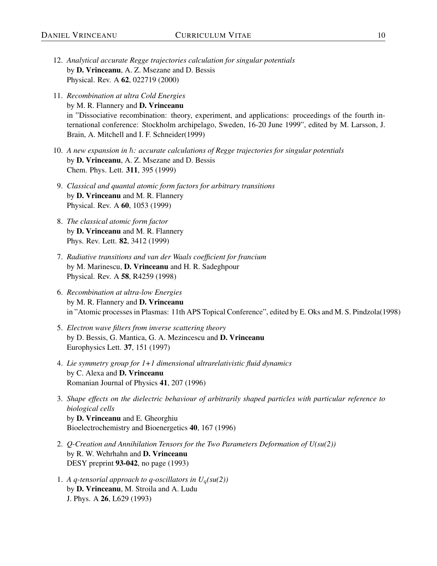- 12. *Analytical accurate Regge trajectories calculation for singular potentials* by D. Vrinceanu, A. Z. Msezane and D. Bessis Physical. Rev. A 62, 022719 (2000)
- 11. *Recombination at ultra Cold Energies* by M. R. Flannery and D. Vrinceanu in "Dissociative recombination: theory, experiment, and applications: proceedings of the fourth international conference: Stockholm archipelago, Sweden, 16-20 June 1999", edited by M. Larsson, J. Brain, A. Mitchell and I. F. Schneider(1999)
- 10. A new expansion in  $\hbar$ : accurate calculations of Regge trajectories for singular potentials by D. Vrinceanu, A. Z. Msezane and D. Bessis Chem. Phys. Lett. 311, 395 (1999)
- 9. *Classical and quantal atomic form factors for arbitrary transitions* by D. Vrinceanu and M. R. Flannery Physical. Rev. A 60, 1053 (1999)
- 8. *The classical atomic form factor* by D. Vrinceanu and M. R. Flannery Phys. Rev. Lett. 82, 3412 (1999)
- 7. *Radiative transitions and van der Waals coefficient for francium* by M. Marinescu, D. Vrinceanu and H. R. Sadeghpour Physical. Rev. A 58, R4259 (1998)
- 6. *Recombination at ultra-low Energies* by M. R. Flannery and D. Vrinceanu in "Atomic processes in Plasmas: 11th APS Topical Conference", edited by E. Oks and M. S. Pindzola(1998)
- 5. *Electron wave filters from inverse scattering theory* by D. Bessis, G. Mantica, G. A. Mezincescu and D. Vrinceanu Europhysics Lett. 37, 151 (1997)
- 4. *Lie symmetry group for 1+1 dimensional ultrarelativistic fluid dynamics* by C. Alexa and D. Vrinceanu Romanian Journal of Physics 41, 207 (1996)
- 3. *Shape effects on the dielectric behaviour of arbitrarily shaped particles with particular reference to biological cells* by D. Vrinceanu and E. Gheorghiu Bioelectrochemistry and Bioenergetics 40, 167 (1996)
- 2. *Q-Creation and Annihilation Tensors for the Two Parameters Deformation of U(su(2))* by R. W. Wehrhahn and D. Vrinceanu DESY preprint 93-042, no page (1993)
- 1. A q-tensorial approach to q-oscillators in  $U_q(su(2))$ by D. Vrinceanu, M. Stroila and A. Ludu J. Phys. A 26, L629 (1993)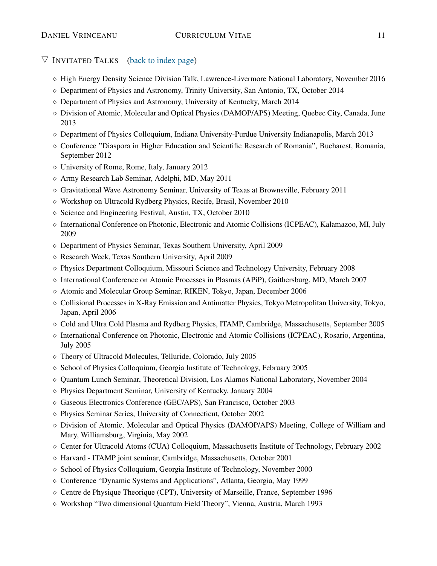- $\Diamond$  High Energy Density Science Division Talk, Lawrence-Livermore National Laboratory, November 2016
- $\circ$  Department of Physics and Astronomy, Trinity University, San Antonio, TX, October 2014
- Department of Physics and Astronomy, University of Kentucky, March 2014
- $\Diamond$  Division of Atomic, Molecular and Optical Physics (DAMOP/APS) Meeting, Quebec City, Canada, June 2013
- $\Diamond$  Department of Physics Colloquium, Indiana University-Purdue University Indianapolis, March 2013
- $\diamond$  Conference "Diaspora in Higher Education and Scientific Research of Romania", Bucharest, Romania, September 2012
- $\diamond$  University of Rome, Rome, Italy, January 2012
- $\Diamond$  Army Research Lab Seminar, Adelphi, MD, May 2011
- $\circ$  Gravitational Wave Astronomy Seminar, University of Texas at Brownsville, February 2011
- Workshop on Ultracold Rydberg Physics, Recife, Brasil, November 2010
- $\Diamond$  Science and Engineering Festival, Austin, TX, October 2010
- International Conference on Photonic, Electronic and Atomic Collisions (ICPEAC), Kalamazoo, MI, July 2009
- Department of Physics Seminar, Texas Southern University, April 2009
- Research Week, Texas Southern University, April 2009
- $\Diamond$  Physics Department Colloquium, Missouri Science and Technology University, February 2008
- $\Diamond$  International Conference on Atomic Processes in Plasmas (APiP), Gaithersburg, MD, March 2007
- Atomic and Molecular Group Seminar, RIKEN, Tokyo, Japan, December 2006
- Collisional Processes in X-Ray Emission and Antimatter Physics, Tokyo Metropolitan University, Tokyo, Japan, April 2006
- $\Diamond$  Cold and Ultra Cold Plasma and Rydberg Physics, ITAMP, Cambridge, Massachusetts, September 2005
- $\Diamond$  International Conference on Photonic, Electronic and Atomic Collisions (ICPEAC), Rosario, Argentina, July 2005
- Theory of Ultracold Molecules, Telluride, Colorado, July 2005
- $\diamond$  School of Physics Colloquium, Georgia Institute of Technology, February 2005
- $\diamond$  Quantum Lunch Seminar, Theoretical Division, Los Alamos National Laboratory, November 2004
- $\diamond$  Physics Department Seminar, University of Kentucky, January 2004
- Gaseous Electronics Conference (GEC/APS), San Francisco, October 2003
- Physics Seminar Series, University of Connecticut, October 2002
- $\Diamond$  Division of Atomic, Molecular and Optical Physics (DAMOP/APS) Meeting, College of William and Mary, Williamsburg, Virginia, May 2002
- $\Diamond$  Center for Ultracold Atoms (CUA) Colloquium, Massachusetts Institute of Technology, February 2002
- $\Diamond$  Harvard ITAMP joint seminar, Cambridge, Massachusetts, October 2001
- $\diamond$  School of Physics Colloquium, Georgia Institute of Technology, November 2000
- $\diamond$  Conference "Dynamic Systems and Applications", Atlanta, Georgia, May 1999
- $\Diamond$  Centre de Physique Theorique (CPT), University of Marseille, France, September 1996
- $\diamond$  Workshop "Two dimensional Quantum Field Theory", Vienna, Austria, March 1993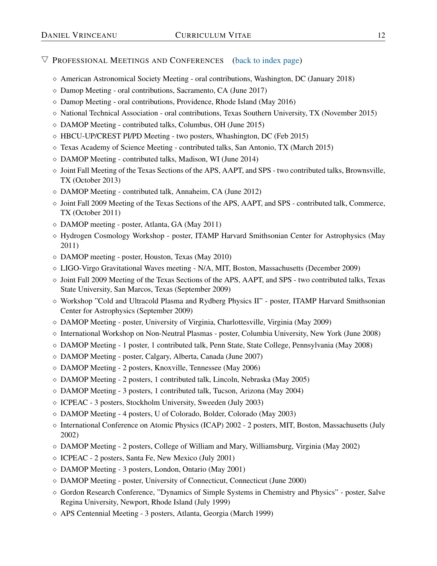- <span id="page-11-0"></span> $\diamond$  American Astronomical Society Meeting - oral contributions, Washington, DC (January 2018)
- Damop Meeting oral contributions, Sacramento, CA (June 2017)
- $\diamond$  Damop Meeting oral contributions, Providence, Rhode Island (May 2016)
- $\Diamond$  National Technical Association oral contributions, Texas Southern University, TX (November 2015)
- DAMOP Meeting contributed talks, Columbus, OH (June 2015)
- HBCU-UP/CREST PI/PD Meeting two posters, Whashington, DC (Feb 2015)
- $\Diamond$  Texas Academy of Science Meeting contributed talks, San Antonio, TX (March 2015)
- $\diamond$  DAMOP Meeting contributed talks, Madison, WI (June 2014)
- $\Diamond$  Joint Fall Meeting of the Texas Sections of the APS, AAPT, and SPS two contributed talks, Brownsville, TX (October 2013)
- DAMOP Meeting contributed talk, Annaheim, CA (June 2012)
- $\Diamond$  Joint Fall 2009 Meeting of the Texas Sections of the APS, AAPT, and SPS contributed talk, Commerce, TX (October 2011)
- DAMOP meeting poster, Atlanta, GA (May 2011)
- Hydrogen Cosmology Workshop poster, ITAMP Harvard Smithsonian Center for Astrophysics (May 2011)
- $\Diamond$  DAMOP meeting poster, Houston, Texas (May 2010)
- $\Diamond$  LIGO-Virgo Gravitational Waves meeting N/A, MIT, Boston, Massachusetts (December 2009)
- $\Diamond$  Joint Fall 2009 Meeting of the Texas Sections of the APS, AAPT, and SPS two contributed talks, Texas State University, San Marcos, Texas (September 2009)
- $\Diamond$  Workshop "Cold and Ultracold Plasma and Rydberg Physics II" poster, ITAMP Harvard Smithsonian Center for Astrophysics (September 2009)
- DAMOP Meeting poster, University of Virginia, Charlottesville, Virginia (May 2009)
- International Workshop on Non-Neutral Plasmas poster, Columbia University, New York (June 2008)
- $\Diamond$  DAMOP Meeting 1 poster, 1 contributed talk, Penn State, State College, Pennsylvania (May 2008)
- DAMOP Meeting poster, Calgary, Alberta, Canada (June 2007)
- DAMOP Meeting 2 posters, Knoxville, Tennessee (May 2006)
- $\Diamond$  DAMOP Meeting 2 posters, 1 contributed talk, Lincoln, Nebraska (May 2005)
- DAMOP Meeting 3 posters, 1 contributed talk, Tucson, Arizona (May 2004)
- $\Diamond$  ICPEAC 3 posters, Stockholm University, Sweeden (July 2003)
- DAMOP Meeting 4 posters, U of Colorado, Bolder, Colorado (May 2003)
- $\Diamond$  International Conference on Atomic Physics (ICAP) 2002 2 posters, MIT, Boston, Massachusetts (July 2002)
- $\Diamond$  DAMOP Meeting 2 posters, College of William and Mary, Williamsburg, Virginia (May 2002)
- $\circ$  ICPEAC 2 posters, Santa Fe, New Mexico (July 2001)
- DAMOP Meeting 3 posters, London, Ontario (May 2001)
- $\Diamond$  DAMOP Meeting poster, University of Connecticut, Connecticut (June 2000)
- $\Diamond$  Gordon Research Conference, "Dynamics of Simple Systems in Chemistry and Physics" poster, Salve Regina University, Newport, Rhode Island (July 1999)
- APS Centennial Meeting 3 posters, Atlanta, Georgia (March 1999)